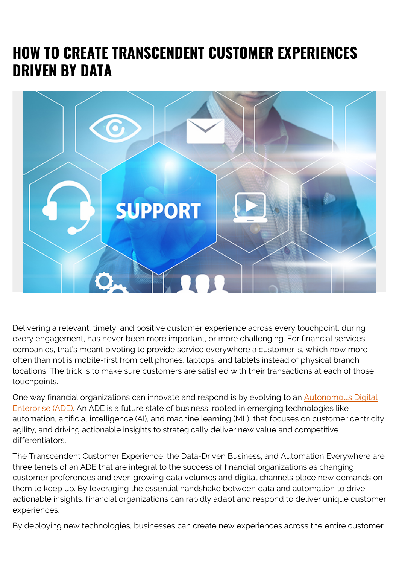## **HOW TO CREATE TRANSCENDENT CUSTOMER EXPERIENCES DRIVEN BY DATA**



Delivering a relevant, timely, and positive customer experience across every touchpoint, during every engagement, has never been more important, or more challenging. For financial services companies, that's meant pivoting to provide service everywhere a customer is, which now more often than not is mobile-first from cell phones, laptops, and tablets instead of physical branch locations. The trick is to make sure customers are satisfied with their transactions at each of those touchpoints.

One way financial organizations can innovate and respond is by evolving to an **[Autonomous Digital](https://blogs.bmc.com/corporate/autonomous-digital-enterprise.html)** [Enterprise \(ADE\).](https://blogs.bmc.com/corporate/autonomous-digital-enterprise.html) An ADE is a future state of business, rooted in emerging technologies like automation, artificial intelligence (AI), and machine learning (ML), that focuses on customer centricity, agility, and driving actionable insights to strategically deliver new value and competitive differentiators.

The Transcendent Customer Experience, the Data-Driven Business, and Automation Everywhere are three tenets of an ADE that are integral to the success of financial organizations as changing customer preferences and ever-growing data volumes and digital channels place new demands on them to keep up. By leveraging the essential handshake between data and automation to drive actionable insights, financial organizations can rapidly adapt and respond to deliver unique customer experiences.

By deploying new technologies, businesses can create new experiences across the entire customer